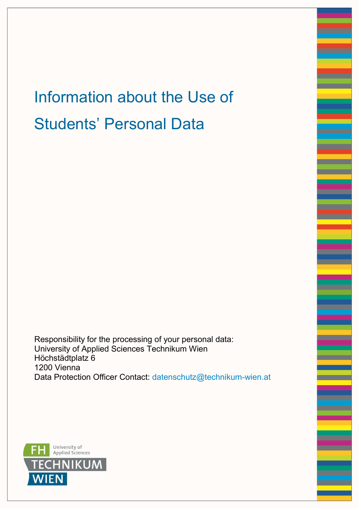# Information about the Use of Students' Personal Data

Responsibility for the processing of your personal data: University of Applied Sciences Technikum Wien Höchstädtplatz 6 1200 Vienna Data Protection Officer Contact: datenschutz@technikum-wien.at

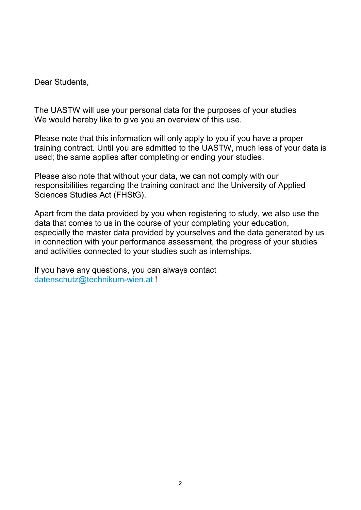Dear Students,

The UASTW will use your personal data for the purposes of your studies We would hereby like to give you an overview of this use.

Please note that this information will only apply to you if you have a proper training contract. Until you are admitted to the UASTW, much less of your data is used; the same applies after completing or ending your studies.

Please also note that without your data, we can not comply with our responsibilities regarding the training contract and the University of Applied Sciences Studies Act (FHStG).

Apart from the data provided by you when registering to study, we also use the data that comes to us in the course of your completing your education, especially the master data provided by yourselves and the data generated by us in connection with your performance assessment, the progress of your studies and activities connected to your studies such as internships.

If you have any questions, you can always contact datenschutz@technikum-wien.at !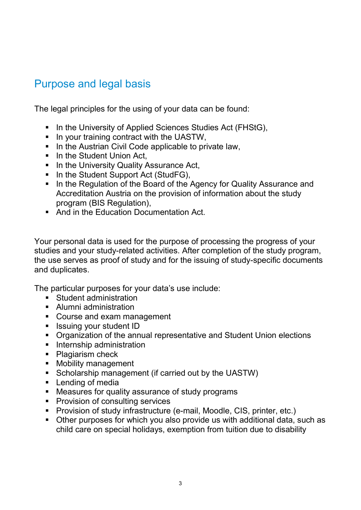# Purpose and legal basis

The legal principles for the using of your data can be found:

- In the University of Applied Sciences Studies Act (FHStG),
- $\blacksquare$  In your training contract with the UASTW,
- In the Austrian Civil Code applicable to private law,
- In the Student Union Act.
- **IF In the University Quality Assurance Act,**
- In the Student Support Act (StudFG),
- In the Regulation of the Board of the Agency for Quality Assurance and Accreditation Austria on the provision of information about the study program (BIS Regulation),
- And in the Education Documentation Act.

Your personal data is used for the purpose of processing the progress of your studies and your study-related activities. After completion of the study program, the use serves as proof of study and for the issuing of study-specific documents and duplicates.

The particular purposes for your data's use include:

- Student administration
- Alumni administration
- Course and exam management
- **Example 3 Issuing your student ID**
- Organization of the annual representative and Student Union elections
- **Internship administration**
- Plagiarism check
- **Mobility management**
- Scholarship management (if carried out by the UASTW)
- **Lending of media**
- Measures for quality assurance of study programs
- **Provision of consulting services**
- **Provision of study infrastructure (e-mail, Moodle, CIS, printer, etc.)**
- Other purposes for which you also provide us with additional data, such as child care on special holidays, exemption from tuition due to disability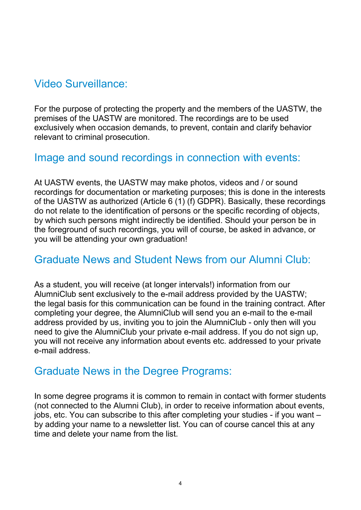# Video Surveillance:

For the purpose of protecting the property and the members of the UASTW, the premises of the UASTW are monitored. The recordings are to be used exclusively when occasion demands, to prevent, contain and clarify behavior relevant to criminal prosecution.

#### Image and sound recordings in connection with events:

At UASTW events, the UASTW may make photos, videos and / or sound recordings for documentation or marketing purposes; this is done in the interests of the UASTW as authorized (Article 6 (1) (f) GDPR). Basically, these recordings do not relate to the identification of persons or the specific recording of objects, by which such persons might indirectly be identified. Should your person be in the foreground of such recordings, you will of course, be asked in advance, or you will be attending your own graduation!

## Graduate News and Student News from our Alumni Club:

As a student, you will receive (at longer intervals!) information from our AlumniClub sent exclusively to the e-mail address provided by the UASTW; the legal basis for this communication can be found in the training contract. After completing your degree, the AlumniClub will send you an e-mail to the e-mail address provided by us, inviting you to join the AlumniClub - only then will you need to give the AlumniClub your private e-mail address. If you do not sign up, you will not receive any information about events etc. addressed to your private e-mail address.

## Graduate News in the Degree Programs:

In some degree programs it is common to remain in contact with former students (not connected to the Alumni Club), in order to receive information about events, jobs, etc. You can subscribe to this after completing your studies - if you want – by adding your name to a newsletter list. You can of course cancel this at any time and delete your name from the list.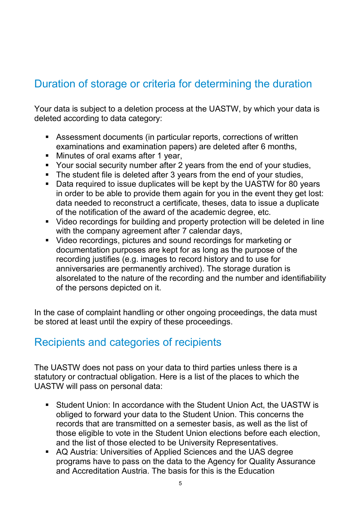# Duration of storage or criteria for determining the duration

Your data is subject to a deletion process at the UASTW, by which your data is deleted according to data category:

- Assessment documents (in particular reports, corrections of written examinations and examination papers) are deleted after 6 months,
- **Minutes of oral exams after 1 year,**
- Your social security number after 2 years from the end of your studies,
- The student file is deleted after 3 years from the end of your studies,
- Data required to issue duplicates will be kept by the UASTW for 80 years in order to be able to provide them again for you in the event they get lost: data needed to reconstruct a certificate, theses, data to issue a duplicate of the notification of the award of the academic degree, etc.
- Video recordings for building and property protection will be deleted in line with the company agreement after 7 calendar days,
- Video recordings, pictures and sound recordings for marketing or documentation purposes are kept for as long as the purpose of the recording justifies (e.g. images to record history and to use for anniversaries are permanently archived). The storage duration is alsorelated to the nature of the recording and the number and identifiability of the persons depicted on it.

In the case of complaint handling or other ongoing proceedings, the data must be stored at least until the expiry of these proceedings.

## Recipients and categories of recipients

The UASTW does not pass on your data to third parties unless there is a statutory or contractual obligation. Here is a list of the places to which the UASTW will pass on personal data:

- Student Union: In accordance with the Student Union Act, the UASTW is obliged to forward your data to the Student Union. This concerns the records that are transmitted on a semester basis, as well as the list of those eligible to vote in the Student Union elections before each election, and the list of those elected to be University Representatives.
- AQ Austria: Universities of Applied Sciences and the UAS degree programs have to pass on the data to the Agency for Quality Assurance and Accreditation Austria. The basis for this is the Education